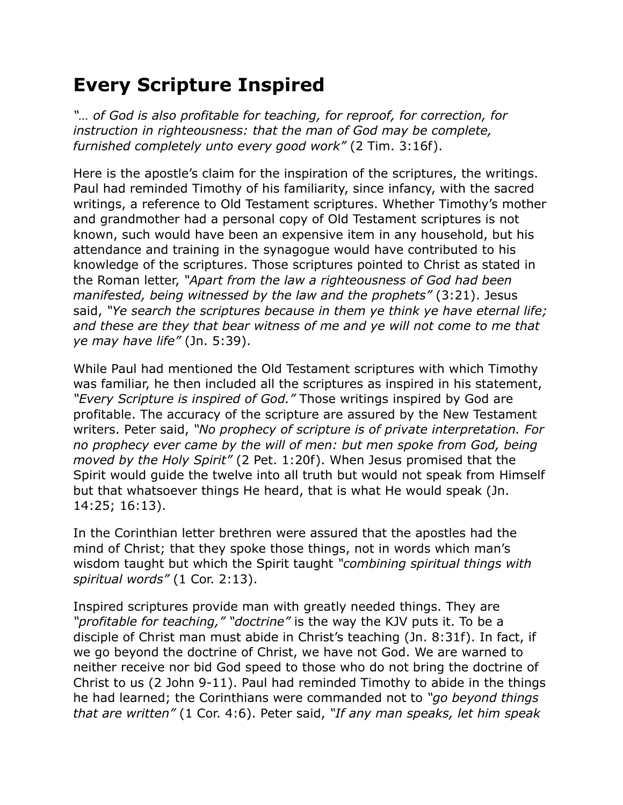## **Every Scripture Inspired**

*"… of God is also profitable for teaching, for reproof, for correction, for instruction in righteousness: that the man of God may be complete, furnished completely unto every good work"* (2 Tim. 3:16f).

Here is the apostle's claim for the inspiration of the scriptures, the writings. Paul had reminded Timothy of his familiarity, since infancy, with the sacred writings, a reference to Old Testament scriptures. Whether Timothy's mother and grandmother had a personal copy of Old Testament scriptures is not known, such would have been an expensive item in any household, but his attendance and training in the synagogue would have contributed to his knowledge of the scriptures. Those scriptures pointed to Christ as stated in the Roman letter, *"Apart from the law a righteousness of God had been manifested, being witnessed by the law and the prophets"* (3:21). Jesus said, *"Ye search the scriptures because in them ye think ye have eternal life; and these are they that bear witness of me and ye will not come to me that ye may have life"* (Jn. 5:39).

While Paul had mentioned the Old Testament scriptures with which Timothy was familiar, he then included all the scriptures as inspired in his statement, *"Every Scripture is inspired of God."* Those writings inspired by God are profitable. The accuracy of the scripture are assured by the New Testament writers. Peter said, *"No prophecy of scripture is of private interpretation. For no prophecy ever came by the will of men: but men spoke from God, being moved by the Holy Spirit"* (2 Pet. 1:20f). When Jesus promised that the Spirit would guide the twelve into all truth but would not speak from Himself but that whatsoever things He heard, that is what He would speak (Jn. 14:25; 16:13).

In the Corinthian letter brethren were assured that the apostles had the mind of Christ; that they spoke those things, not in words which man's wisdom taught but which the Spirit taught *"combining spiritual things with spiritual words"* (1 Cor. 2:13).

Inspired scriptures provide man with greatly needed things. They are *"profitable for teaching," "doctrine"* is the way the KJV puts it. To be a disciple of Christ man must abide in Christ's teaching (Jn. 8:31f). In fact, if we go beyond the doctrine of Christ, we have not God. We are warned to neither receive nor bid God speed to those who do not bring the doctrine of Christ to us (2 John 9-11). Paul had reminded Timothy to abide in the things he had learned; the Corinthians were commanded not to *"go beyond things that are written"* (1 Cor. 4:6). Peter said, *"If any man speaks, let him speak*